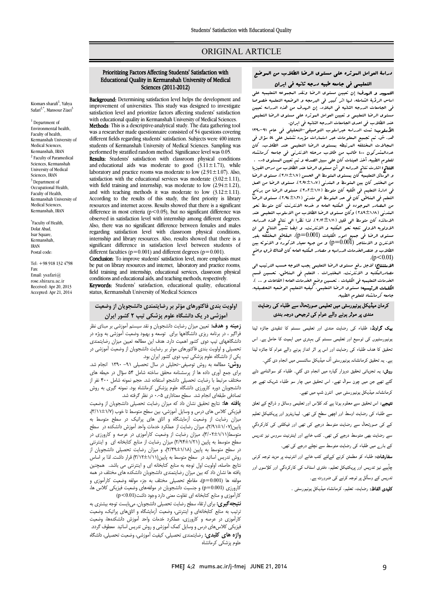# ORIGINAL ARTICLE

# دراسۀ العوامل الموثره علی مستوي الرضا الطلاب من الموضع التعلیمی فی جامعه طبیه درجه ثانیه فی ایران

Ī  $\overline{a}$ 

استریت و الریتانی، از کبیر استقوان الرحل وسط التجهوت التعلیمیه خصوصا<br>اساس الرؤیۀ الشامله، لرما اثر کبیر فی البرمجه و الوضعیه التعلمیه خصوصا فی الجامعات الدرجه الثانیه فی البلاد. إن الهدف من هذه الدراسه تعیین مستوى الرضا التعلیمی و تعیین العوامل الموثره علی مستوى الرضا التعلیمی<br>مستول الدان التمهید و الهدف: إن تعیین مستوي الرضا ونقد المجموعه التعلیمیه علی عند الطلاب فی احدي الجامعات الدرجه الثانیه فی ایران.

الأسلوب: تمت الدراسه عبراسلوب التوصیفی-التحلیلی فی عام ۹۱-۱۳۹۰ هد. ش. تم تجمیع المعلومات عبر استمارات مؤیده تشتمل علی 54 سؤال فی عددالمشرکون 400 طالب من طلاب مرحله الانترنی فی جامعه کرمانشاه للعلوم الطبیه. أخذ العینات کان علی سبیل الصدفه و تم تعیین المستوي 0.05 . النتائج: اشارت نتائج الدراسه الی أن مستوي الرضا عند الطلاب من درس الفیزیا من المختبر کان بین المتوسط و المتدنی (2.91±1.07)، مستوي الرضا من العمل فی ادارة التعلیم فی الکلیه کان متوسط (3.02±1.11)، مستوي الرضا من برنامج التعلم فی المناطق کان فی حد المتوسط الی متدنی (2.94±1.21)، مستوي الرضا المتدنی (2.49±1.18) وکان مستوي الرضا الطلاب من الاسلوب التعلیمی عند الاساتذه کان متوسط الی قلیل (3.12±1.11). لذا نظراَ الی نتائج هذه الدراسه، J  $\overline{\phantom{a}}$ الطلاب و عنصرالخدمات الدراسیه و مصادر البکتبه العامه کان هناك فرق واضح<br>(011 0 سرد) المجالات المختلفه المرتبطه بمستوي الرضا التعلیمی عند الطلاب. کان و الوسائل التعلیمیه کان بمستوي المتوسط الی الحسن (3.11±1.7)، مستوي الرضا من المصادر الموجوده فی المکتبه العامه و خدمه الانترنت کان متوسط نحو الاولویه الاولی تتجه نحو المکتبه و الانترنت. و ایضاَ تشیر النتائج الی ان مستوي الرضا فی جمیع امور الکلیات (0.001=p(، المقاطع المختلفه بغیر الانترن و الاستاجر (0.001=p (و من جهه معیار الذکوره و الانوثه بین  $(p<0.01)$ 

 الاستنتاج: لاجل رفع مستوي الرضا التعلیمی یجب التوجه حسب الترتیب الی مصادرالمکتبه و الانترنت، المختبرات ، التعلم فی المناطق، تحسین قسم الکلاحات التعلیمیة کی اللیبات ، کلسین کافلع الملاحات التاله الساعات الاست.<br>**الکلمات الرئیسیه: م**ستوی الرضا التعلیمی، کیفیه التعلیم الوضعیه التحصیلیه، جامعه کرمانشاه للعلوم الطبیه. الخدمات التعلیمیه فی الکلیات ، تحسین وضع الخدمات العامه (القاعات و ... ).

# کرمان میڈیکل یونیورسٹی میں تعلیمی صورتحال سے طلباء کی رضایت مندی پر موثر ہونے والے عوام کی ترجیحی درجہ بندی

**یک گراونڈ:** طلباء کی رضایت مندی اور تعلیمی سسٹم کا تنقیدی جائزہ لینا ۔<br>بونیورسٹیوں کی توسیع اور تعلیمی سسٹم کی بہتری میں اہمیت کا حامل ہے۔ اس ۔<br>نحقیق کا ہدف طلباء کی رضایت اور اس پر اثر انداز ہونے والے عوام کا جائزہ لینا ے ـ یہ تحقیق کرمانشانہ یونیورسٹی آف میڈیکل سائنسس میں انجام دی گئي۔ ر**وش:** یہ تجزیاتی تحقیق دوہزار گیارہ میں انجام دی گئي۔ طلباء کو سوالنامے دئے<br>۔ ۔<br>گئے تھے جن میں چون سوال تھے، اس تحقیق میں چار سو طلباء شریک تھے جو ۔<br>کرمانشانہ میڈیکل یونیورسٹی میں انٹرن شپ میں تھے۔

۔<br>**نتیجے:** اس تحقیق سے معلوم ہوتا ہے کہ کلاس اور تعلیمی وسائل و ذرائع کے تعلق ۔ ر اور اس کے مطابق کے مطابق کے مطابق کر اور اس کے مطابق کے مطابق کے مطابق کے مطابق کے مطابق کے مطابق کرنے کے<br>سے طلباء کی رضایت اوسط اور اچھی سطح کی تھی۔ لیباریٹریز اور پویکٹیکل تعلیم ے میں اس کے لیے اس کے لیے اس کے لیے اس کے لیے اس کے اس کے اس کے دراوی کے دراوی کے دراوی کے دراوی کے دراوی کے د<br>کے کی صورتحال سے رضایت متوسط درجے کی تھی اور فیکلٹی کی کارکردگي ے کی اس کی اس کے مطابق کے مطابق کرتے ہیں گئی ہے کہ اس کی مطابق کی دی ہے۔<br>سے رضایت بھی متوسط درجے کی تھی۔ کتب خانے اور اینٹرنیٹ سروس نیز تدریس ے ر۔ یہ بہی کر در ہے ہیں ہیں ۔<br>کے بارے میں طلباء کی رضایت متوسط سے نچلے درجے کی تھی۔ <u>ء</u>

**سفارشات:** طلباء کو مطمئن کرنے کےلئے کتب خانے اور انٹرنیٹ پر مزید توجہ کرنی<br>پر چآہیے نیز تدریس اور پریکٹیکل تعلیم، دفتری اسٹاف کی کارکردگی اور کلاسوں اور<br>~ ر وٓ ورت ۔

**کلیدی الفاظ:** رضایت، تعلیم، کرمانشاہ میڈیکل یونیورسٹی ۔<br>۔

# Prioritizing Factors Affecting Students' Satisfaction with Educational Quality in Kermanshah University of Medical Sciences (2011-2012)

Ī  $\overline{a}$ 

Background: Determining satisfaction level helps the development and improvement of universities. This study was designed to investigate with educational quality in Kermanshah University of Medical Sciences. **Methods**: This is a descriptive-analytical study. The data gathering tool<br>was a researcher made questionnaire consisted of 54 questions covering different fields regarding students' satisfaction. Subjects were 400 intern performed by stratified random method. Significance level was 0.05. satisfaction level and prioritize factors affecting students' satisfaction was aresearcher made questionnaire consisted of 54 questions covering students of Kermanshah University of Medical Sciences. Sampling was

 Results: Students' satisfaction with classroom physical conditions laboratory and practice rooms was moderate to low  $(2.91 \pm 1.07)$ . Also, satisfaction with the educational services was moderate  $(3.02 \pm 1.11)$ , and with teaching methods it was moderate to low  $(3.12 \pm 1.11)$ . According to the results of this study, the first priority is library<br>resources and internationals Papults showed that there is a significant difference in most criteria (p<0.05), but no significant difference was Also, there was no significant difference between females and males regarding satisfaction level with classroom physical conditions, significant difference in satisfaction level between students of different faculties ( $p=0.001$ ) and different degrees ( $p=0.001$ ). and educational aids was moderate to good  $(3.11 \pm 1.71)$ , while with field training and internship, was moderate to low  $(2.94 \pm 1.21)$ . resources and internet access. Results showed that there is a significant observed in satisfaction level with internship among different degrees. internship and library resources. Also, results showed that there is a

be put on library resources and internet, laboratory and practice rooms, field training and internship, educational services, classroom physical Conclusion: To improve students' satisfaction level, more emphasis must conditions and educational aids, and teaching methods, respectively.

 Keywords: Students' satisfaction, educational quality, educational status, Kermanshah University of Medical Sciences

# اولویت بندي فاکتورهاي مؤثر بر رضایتمندي دانشجویان از وضعیت آموزشی در یک دانشگاه علوم پزشکی تیپ 2 کشور ایران

 زمینه و هدف: تعیین میزان رضایت دانشجویان و نقد سیستم آموزشی بر مبناي نظر فراگیر ، در برنامه ریزي دانشگاهها براي توسعه و بهبود وضعیت آموزشی به ویژه در تحصیلی و اولویت بندي فاکتورهاي موثر بر رضایت دانشجویان از وضعیت آموزشی در یکی از دانشگاه علوم پزشکی تیپ دوي کشور ایران بود. دانشگاههاي تیپ دوي کشور اهمیت دارد. هدف این مطالعه تعیین میزان رضایتمندي

 روش: مطالعه به روش توصیفی-تحلیلی در سال تحصیلی -91 1390 انجام شد. بر ت . ح کررت<br>مختلف مرتبط با رضایت تحصیلی دانشجو استفاده شد. حجم نمونه شامل ۴۰۰ نفر از دانشجویان دوره کارورزي دانشگاه علوم پزشکی کرمانشاه بود. نمونه گیري به روش براي جمع آوري داده ها از پرسشنامه محقق ساخته شامل 54 سؤال در حیطه هاي تصادفی طبقهاي انجام شد. سطح معناداري 0.05 در نظر گرفته شد.

یصادفی طبقه ای ایجام سد. سطح معناداری ۰۰۵٪ در نظر درفته سد.<br>**یافته ها:** نتایج تحقیق نشان داد که میزان رضایت تحصیلی دانشجویان از وضعیت .<br>فیزیکی کلاس های درس و وسایل آموزشی، بین سطح متوسط تا خوب (۲/۱±۱/۳)، میزان رضایت از وضعیت آزمایشگاه و اتاق هاي پراتیک در سطح متوسط به پایین(۱٬۰۷۰–۱٬۱۰۱)، میزان رصایت از عملارد خدمات واحد امورس دانسکند در کسعح<br>متوسط(۲/۱۱–۳/۰۲)، میزان رضایت از وضعیت کارآموزی در عرصه و کارورزی در سطح متوسط به پایین (2/94±1/21) میزان رضایت از منابع کتابخانه اي و اینترنتی در سطح متوسط به پایین (2/49±1/18)، و میزان رضایت تحصیلی دانشجویان از روس ندریس اسانید در "سطح منوسط به پایین(۱۳۱۱–۱۳۱۱) فرار داست. ندا بر اساس<br>نتایج حاصله، اولویت اول توجه به منابع کتابخانه ای و اینترنتی می باشد.. "همچنین یافته ها نشان داد که بین میزان رضایتمندي دانشجویان دانشکده هاي مختلف در همه مولفه ها (0.001=p(، مقاطع تحصیلی مختلف به جزء مولفه وضعیت کارآموزي و کارآموزي و منابع کتابخانه اي تفاوت معنی دارد وجود داشت(0.01>p( پایین(2/91±1/07)، میزان رضایت از عملکرد خدمات واحد آموزش دانشکده در سطح روش تدریس اساتید در سطح متوسط به پایین(3/12±1/11) قرار داشت. لذا بر اساس کارورزي (0.001=p (و جنسیت دانشجویان در مولفههاي وضعیت فیزیکی کلاس ها،

نتیجه *گیری*: برای ارتقاء سطح رضایت تحصیلی دانشجویان، میبایست توجه بیشتری به نرتیب به منابع کتابخانهای و اینترنتی، وضعیت آزمایشگاه و اتاق های پراتیک، وضعیت<br>بودن فاراموزی در حرصه و حاروزری، حسابرد حدمت واحد اموزش دانشاندهاند وحسیب<br>فیزیکی کلاسهای درس و وسایل کمک آموزشی و روش تدریس اساتید معطوف گردد. واژه هاي کلیدي: رضایتمندي تحصیلی، کیفیت آموزشی، وضعیت تحصیلی، دانشگاه کارآموزي در عرصه و کارورزي، عملکرد خدمات واحد آموزش دانشکدهها، وضعیت علوم پزشکی کرمانشاه

Safari<sup>2,\*</sup>, Mansour Ziaei<sup>3</sup> <sup>1</sup> Department of Environmental health, Faculty of health, Kermanshah University of

Kiomars sharafi<sup>1</sup>, Yahya

Medical Sciences, Kermanshah, IRAN <sup>2</sup> Faculty of Paramedical Sciences, Kermanshah University of Medical Sciences, IRAN <sup>3</sup> Department of Occupational Health, Faculty of Health, Kermanshah University of Medical Sciences, Kermanshah, IRAN

\* Faculty of Health, Dolat Abad, Isar Square, Kermanshah, IRAN Postal code:

Tel: +98 918 132 4798 Fax: Email: ysafari@ rose.shirazu.ac.ir Received: Apr 20, 2013 Accepted: Apr 21, 2014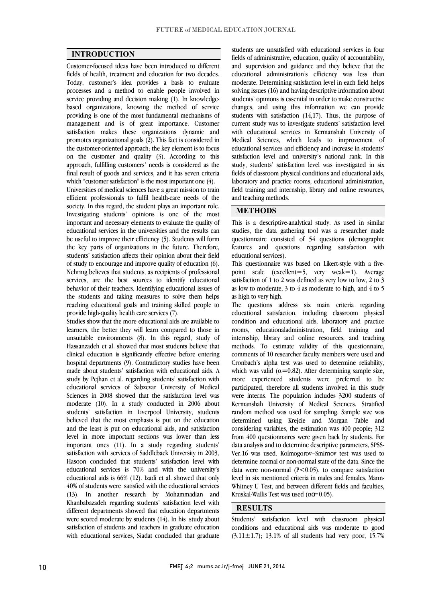$\overline{a}$  $\overline{a}$ 

### INTRODUCTION

 Customer-focused ideas have been introduced to different fields of health, treatment and education for two decades. processes and a method to enable people involved in service providing and decision making (1). In knowledge- based organizations, knowing the method of service providing is one of the most fundamental mechanisms of satisfaction makes these organizations dynamic and promotes organizational goals (2). This fact is considered in the customer-oriented approach; the key element is to focus on the customer and quality (3). According to this final result of goods and services, and it has seven criteria which "customer satisfaction" is the most important one (4). Today, customer's idea provides a basis to evaluate management and is of great importance. Customer approach, fulfilling customers' needs is considered as the

 Universities of medical sciences have a great mission to train efficient professionals to fulfil health-care needs of the Investigating students' opinions is one of the most important and necessary elements to evaluate the quality of educational services in the universities and the results can the key parts of organizations in the future. Therefore, students' satisfaction affects their opinion about their field of study to encourage and improve quality of education (6). Nehring believes that students, as recipients of professional behavior of their teachers. Identifying educational issues of the students and taking measures to solve them helps reaching educational goals and training skilled people to society. In this regard, the student plays an important role. be useful to improve their efficiency (5). Students will form services, are the best sources to identify educational provide high-quality health care services (7).

provide high-quality health care services ( / ).<br>Studies show that the more educational aids are available to learners, the better they will learn compared to those in unsuitable environments (8). In this regard, study of Hassanzadeh et al. showed that most students believe that clinical education is significantly effective before entering made about students' satisfaction with educational aids. A study by Pejhan et al. regarding students' satisfaction with educational services of Sabzevar University of Medical sciences in 2008 showed that the sausfaction level was<br>moderate (10). In a study conducted in 2006 about students' satisfaction in Liverpool University, students believed that the most emphasis is put on the education and the least is put on educational aids, and satisfaction important ones (11). In a study regarding students' satisfaction with services of Saddleback University in 2003, Hasoon concluded that students' satisfaction level with educational services is 70% and with the university's  $40\%$  of students were satisfied with the educational services (13). In another research by Mohammadian and Khanbabazadeh regarding students' satisfaction level with different departments showed that education departments satisfaction of students and teachers in graduate education with educational services, Siadat concluded that graduate hospital departments (9). Contradictory studies have been Sciences in 2008 showed that the satisfaction level was level in more important sections was lower than less educational aids is 66% (12). Izadi et al. showed that only were scored moderate by students (14). In his study about

 fields of administrative, education, quality of accountability, and supervision and guidance and they believe that the educational administration's efficiency was less than solving issues (16) and having descriptive information about students' opinions is essential in order to make constructive changes, and using this information we can provide students with satisfaction  $(14,17)$ . Thus, the purpose of with educational services in Kermanshah University of Medical Sciences, which leads to improvement of educational services and efficiency and increase in students' sausiaction lever and university's national rank. In this<br>study, students' satisfaction level was investigated in six fields of classroom physical conditions and educational aids, laboratory and practice rooms, educational administration, field training and internship, library and online resources,  $\overline{a}$ students are unsatisfied with educational services in four moderate. Determining satisfaction level in each field helps current study was to investigate students' satisfaction level satisfaction level and university's national rank. In this and teaching methods.

#### METHODS

 This is a descriptive-analytical study. As used in similar studies, the data gathering tool was a researcher made features and questions regarding satisfaction with questionnaire consisted of 54 questions (demographic educational services).

 $\overline{a}$ 

ī

 This questionnaire was based on Likert-style with a fivepoint scale (excellent=5, very weak=1). Average as low to moderate,  $3$  to  $4$  as moderate to high, and  $4$  to  $5$ satisfaction of 1 to 2 was defined as very low to low, 2 to 3 as high to very high.

 The questions address six main criteria regarding educational satisfaction, including classroom physical rooms, educationaladministration, field training and internship, library and online resources, and teaching methods. To estimate validity of this questionnaire, Cronbach's alpha test was used to determine reliability, which was valid  $(\alpha=0.82)$ . After determining sample size, more experienced students were preferred to be participated, therefore all students involved in this study Kermanshah University of Medical Sciences. Stratified random method was used for sampling. Sample size was determined using Krejcie and Morgan Table and considering variables, the estimation was 400 people; 312 data analysis and to determine descriptive parameters, SPSS- Ver.16 was used. Kolmogorov–Smirnov test was used to determine normal or non-normal state of the data. Since the data were non-normal  $(P<0.05)$ , to compare satisfaction Whitney U Test, and between different fields and faculties, condition and educational aids, laboratory and practice comments of 10 researcher faculty members were used and were interns. The population includes 3200 students of from 400 questionnaires were given back by students. For level in six mentioned criteria in males and females, Mann-Kruskal-Wallis Test was used ( $\alpha \mathbf{C} = 0.05$ ).

### **RESULTS**

 Students' satisfaction level with classroom physical conditions and educational aids was moderate to good (3.11 $\pm$ 1.7); 13.1% of all students had very poor, 15.7%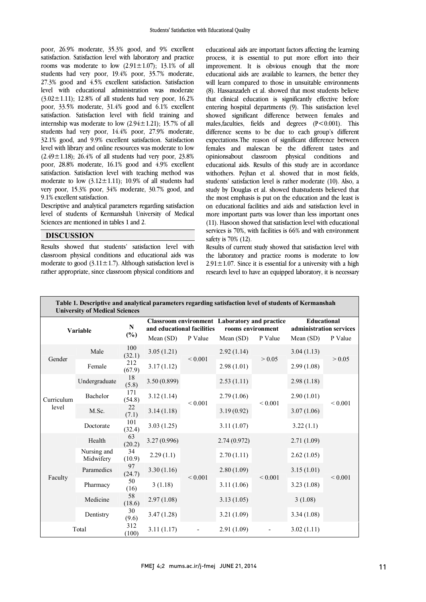poor, 26.9% moderate, 35.3% good, and 9% excellent satisfaction. Satisfaction level with laboratory and practice rooms was moderate to low  $(2.91 \pm 1.07)$ ; 13.1% of all students had very poor, 19.4% poor, 35.7% moderate, level with educational administration was moderate  $(3.02 \pm 1.11)$ ; 12.8% of all students had very poor, 16.2% poor, 33.5% moderate, 31.4% good and 6.1% excellent sausiacuon. Sausiacuon level with held training and<br>internship was moderate to low (2.94±1.21); 15.7% of all students had very poor,  $14.4\%$  poor,  $27.9\%$  moderate, 32.1% good, and 9.9% excellent satisfaction. Satisfaction level with library and online resources was moderate to low  $(2.49 \pm 1.18)$ ; 20.4% or an students had very poor, 25.8% poor, 28.8% moderate, 16.1% good and 4.9% excellent satisfaction. Satisfaction level with teaching method was moderate to low  $(3.12 \pm 1.11)$ ; 10.9% of all students had very poor, 15.3% poor, 34% moderate, 30.7% good, and 27.3% good and 4.5% excellent satisfaction. Satisfaction satisfaction. Satisfaction level with field training and  $(2.49 \pm 1.18)$ ; 26.4% of all students had very poor, 23.8% 9.1% excellent satisfaction.

 Descriptive and analytical parameters regarding satisfaction level of students of Kermanshah University of Medical Sciences are mentioned in tables 1 and 2.

### **DISCUSSION**

 Results showed that students' satisfaction level with classroom physical conditions and educational aids was moderate to good  $(3.11 \pm 1.7)$ . Although satisfaction level is rather appropriate, since classroom physical conditions and  educational aids are important factors affecting the learning process, it is essential to put more effort into their improvement. It is obvious enough that the more educational aids are available to learners, the better they (8). Hassanzadeh et al. showed that most students believe entering hospital departments (9). This satisfaction level showed significant difference between lemales and<br>males,faculties, fields and degrees (P<0.001). This difference seems to be due to each group's different expectations.The reason of significant difference between females and malescan be the different tastes and educational aids. Results of this study are in accordance withothers. Pejhan et al. showed that in most fields, students' satisfaction level is rather moderate (10). Also, a study by Douglas et al. showed thatstudents believed that on educational facilities and aids and satisfaction level in more important parts was lower than less important ones (11). Hasoon showed that satisfaction level with educational services is 70%, with facilities is 66% and with environment will learn compared to those in unsuitable environments that clinical education is significantly effective before showed significant difference between females and opinionsabout classroom physical conditions and the most emphasis is put on the education and the least is safety is 70% (12).

Results of current study showed that satisfaction level with the laboratory and practice rooms is moderate to low  $2.91 \pm 1.07$ . Since it is essential for a university with a high research level to have an equipped laboratory, it is necessary

| Table 1. Descriptive and analytical parameters regarding satisfaction level of students of Kermanshah<br><b>University of Medical Sciences</b> |                          |                     |                                                      |             |                                                                                                     |             |                                                                       |              |  |
|------------------------------------------------------------------------------------------------------------------------------------------------|--------------------------|---------------------|------------------------------------------------------|-------------|-----------------------------------------------------------------------------------------------------|-------------|-----------------------------------------------------------------------|--------------|--|
| Variable                                                                                                                                       |                          | ${\bf N}$<br>$(\%)$ | and educational facilities<br>Mean $(SD)$<br>P Value |             | <b>Classroom environment</b> Laboratory and practice<br>rooms environment<br>Mean $(SD)$<br>P Value |             | <b>Educational</b><br>administration services<br>Mean (SD)<br>P Value |              |  |
| Gender                                                                                                                                         | Male                     | 100<br>(32.1)       | 3.05(1.21)                                           | ${}< 0.001$ | 2.92(1.14)                                                                                          | > 0.05      | 3.04(1.13)                                                            | > 0.05       |  |
|                                                                                                                                                | Female                   | 212<br>(67.9)       | 3.17(1.12)                                           |             | 2.98(1.01)                                                                                          |             | 2.99(1.08)                                                            |              |  |
| Curriculum<br>level                                                                                                                            | Undergraduate            | 18<br>(5.8)         | 3.50 (0.899)                                         | ${}< 0.001$ | 2.53(1.11)                                                                                          | ${}< 0.001$ | 2.98(1.18)                                                            | ${}< 0.001$  |  |
|                                                                                                                                                | <b>Bachelor</b>          | 171<br>(54.8)       | 3.12(1.14)                                           |             | 2.79(1.06)                                                                                          |             | 2.90(1.01)                                                            |              |  |
|                                                                                                                                                | M.Sc.                    | 22<br>(7.1)         | 3.14(1.18)                                           |             | 3.19(0.92)                                                                                          |             | 3.07(1.06)                                                            |              |  |
|                                                                                                                                                | Doctorate                | 101<br>(32.4)       | 3.03(1.25)                                           |             | 3.11(1.07)                                                                                          |             | 3.22(1.1)                                                             |              |  |
| Faculty                                                                                                                                        | Health                   | 63<br>(20.2)        | 3.27(0.996)                                          | ${}< 0.001$ | 2.74(0.972)                                                                                         | ${}< 0.001$ | 2.71(1.09)                                                            | ${}_{0.001}$ |  |
|                                                                                                                                                | Nursing and<br>Midwifery | 34<br>(10.9)        | 2.29(1.1)                                            |             | 2.70(1.11)                                                                                          |             | 2.62(1.05)                                                            |              |  |
|                                                                                                                                                | Paramedics               | 97<br>(24.7)        | 3.30(1.16)                                           |             | 2.80(1.09)                                                                                          |             | 3.15(1.01)                                                            |              |  |
|                                                                                                                                                | Pharmacy                 | 50<br>(16)          | 3(1.18)                                              |             | 3.11(1.06)                                                                                          |             | 3.23(1.08)                                                            |              |  |
|                                                                                                                                                | Medicine                 | 58<br>(18.6)        | 2.97(1.08)                                           |             | 3.13(1.05)                                                                                          |             | 3(1.08)                                                               |              |  |
|                                                                                                                                                | Dentistry                | 30<br>(9.6)         | 3.47(1.28)                                           |             | 3.21(1.09)                                                                                          |             | 3.34(1.08)                                                            |              |  |
| Total                                                                                                                                          |                          | 312<br>(100)        | 3.11(1.17)                                           |             | 2.91(1.09)                                                                                          |             | 3.02(1.11)                                                            |              |  |

٦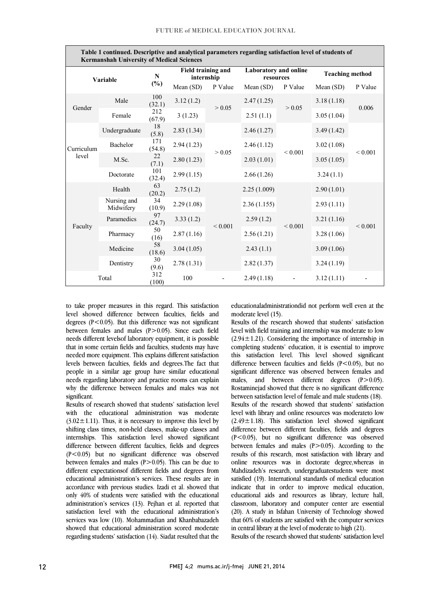| Table 1 continued. Descriptive and analytical parameters regarding satisfaction level of students of<br><b>Kermanshah University of Medical Sciences</b> |                          |                     |                                  |             |                                           |             |                        |             |  |
|----------------------------------------------------------------------------------------------------------------------------------------------------------|--------------------------|---------------------|----------------------------------|-------------|-------------------------------------------|-------------|------------------------|-------------|--|
| Variable                                                                                                                                                 |                          | ${\bf N}$<br>$(\%)$ | Field training and<br>internship |             | <b>Laboratory and online</b><br>resources |             | <b>Teaching method</b> |             |  |
|                                                                                                                                                          |                          |                     | Mean (SD)                        | P Value     | Mean $(SD)$                               | P Value     | Mean $(SD)$            | P Value     |  |
| Gender                                                                                                                                                   | Male                     | 100<br>(32.1)       | 3.12(1.2)                        | > 0.05      | 2.47(1.25)                                | > 0.05      | 3.18(1.18)             | 0.006       |  |
|                                                                                                                                                          | Female                   | 212<br>(67.9)       | 3(1.23)                          |             | 2.51(1.1)                                 |             | 3.05(1.04)             |             |  |
| Curriculum<br>level                                                                                                                                      | Undergraduate            | 18<br>(5.8)         | 2.83(1.34)                       | > 0.05      | 2.46(1.27)                                | ${}< 0.001$ | 3.49(1.42)             | ${}< 0.001$ |  |
|                                                                                                                                                          | Bachelor                 | 171<br>(54.8)       | 2.94(1.23)                       |             | 2.46(1.12)                                |             | 3.02(1.08)             |             |  |
|                                                                                                                                                          | M.Sc.                    | 22<br>(7.1)         | 2.80(1.23)                       |             | 2.03(1.01)                                |             | 3.05(1.05)             |             |  |
|                                                                                                                                                          | Doctorate                | 101<br>(32.4)       | 2.99(1.15)                       |             | 2.66(1.26)                                |             | 3.24(1.1)              |             |  |
| Faculty                                                                                                                                                  | Health                   | 63<br>(20.2)        | 2.75(1.2)                        | ${}< 0.001$ | 2.25(1.009)                               | ${}< 0.001$ | 2.90(1.01)             | ${}< 0.001$ |  |
|                                                                                                                                                          | Nursing and<br>Midwifery | 34<br>(10.9)        | 2.29(1.08)                       |             | 2.36(1.155)                               |             | 2.93(1.11)             |             |  |
|                                                                                                                                                          | Paramedics               | 97<br>(24.7)        | 3.33(1.2)                        |             | 2.59(1.2)                                 |             | 3.21(1.16)             |             |  |
|                                                                                                                                                          | Pharmacy                 | 50<br>(16)          | 2.87(1.16)                       |             | 2.56(1.21)                                |             | 3.28(1.06)             |             |  |
|                                                                                                                                                          | Medicine                 | 58<br>(18.6)        | 3.04(1.05)                       |             | 2.43(1.1)                                 |             | 3.09(1.06)             |             |  |
|                                                                                                                                                          | Dentistry                | 30<br>(9.6)         | 2.78(1.31)                       |             | 2.82(1.37)                                |             | 3.24(1.19)             |             |  |
| Total                                                                                                                                                    |                          | 312<br>(100)        | 100                              |             | 2.49(1.18)                                |             | 3.12(1.11)             |             |  |

1 Table 1 continued. Descriptive and analytical parameters regarding satisfaction level of students of

 to take proper measures in this regard. This satisfaction level showed difference between faculties, fields and between females and males  $(P>0.05)$ . Since each field needs different levelsof laboratory equipment, it is possible that in some certain fields and faculties, students may have needed more equipment. This explains different satisfaction people in a similar age group have similar educational needs regarding laboratory and practice rooms can explain why the difference between females and males was not significant.<br>Results of research showed that students' satisfaction level degrees  $(P<0.05)$ . But this difference was not significant levels between faculties, fields and degrees.The fact that significant.

with the educational administration was moderate  $(3.02 \pm 1.11)$ . Thus, it is necessary to improve this level by shifting class times, non-held classes, make-up classes and internships. This satisfaction level showed significant (P<0.05) but no significant difference was observed between females and males  $(P>0.05)$ . This can be due to different expectationsof different fields and degrees from equeational administration's services. These results are in<br>accordance with previous studies. Izadi et al. showed that only 40% of students were satisfied with the educational administration's services (13). Pejhan et al. reported that satisfaction level with the educational administration's services was low (10). Monanimatizati and Knanbabazatien<br>showed that educational administration scored moderate regarding students' satisfaction (14). Siadat resulted that the difference between different faculties, fields and degrees educational administration's services. These results are in services was low (10). Mohammadian and Khanbabazadeh

 educationaladministrationdid not perform well even at the moderate level (15).

-

 level with field training and internship was moderate to low  $(2.94 \pm 1.21)$ . Considering the importance of internship in completing students' education, it is essential to improve this satisfaction level. This level showed significant significant difference was observed between females and males, and between different degrees  $(P>0.05)$ . Rostaminejad showed that there is no significant difference between satisfaction level of female and male students (18).<br>Results of the research showed that students' satisfaction level with library and online resources was moderateto low  $(2.49 \pm 1.18)$ . This satisfaction level showed significant difference between different faculties, fields and degrees  $(P<0.05)$ , but no significant difference was observed results of this research, most satisfaction with library and online resources was in doctorate degree,whereas in Mahdizadeh's research, undergraduatestudents were most satisfied (19). International standards of medical education educational aids and resources as library, lecture hall, classroom, laboratory and computer center are essential (20). A study in Isfahan University of Technology showed that 60% of students are satisfied with the computer services<br>in easterl library at the layel of moderate to high (21) Results of the research showed that students' satisfaction difference between faculties and fields  $(P<0.05)$ , but no between satisfaction level of female and male students (18). between females and males  $(P>0.05)$ . According to the indicate that in order to improve medical education, in central library at the level of moderate to high (21).

Results of the research showed that students' satisfaction level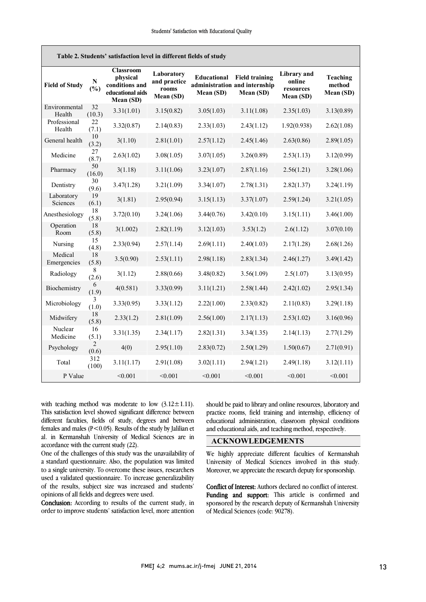| Table 2. Students' satisfaction level in different fields of study |                         |                                                                                 |                                                  |                                 |                                                                     |                                                        |                                 |  |  |
|--------------------------------------------------------------------|-------------------------|---------------------------------------------------------------------------------|--------------------------------------------------|---------------------------------|---------------------------------------------------------------------|--------------------------------------------------------|---------------------------------|--|--|
| <b>Field of Study</b>                                              | ${\bf N}$<br>(%)        | <b>Classroom</b><br>physical<br>conditions and<br>educational aids<br>Mean (SD) | Laboratory<br>and practice<br>rooms<br>Mean (SD) | <b>Educational</b><br>Mean (SD) | <b>Field training</b><br>administration and internship<br>Mean (SD) | <b>Library</b> and<br>online<br>resources<br>Mean (SD) | Teaching<br>method<br>Mean (SD) |  |  |
| Environmental<br>Health                                            | 32<br>(10.3)            | 3.31(1.01)                                                                      | 3.15(0.82)                                       | 3.05(1.03)                      | 3.11(1.08)                                                          | 2.35(1.03)                                             | 3.13(0.89)                      |  |  |
| Professional<br>Health                                             | 22<br>(7.1)             | 3.32(0.87)                                                                      | 2.14(0.83)                                       | 2.33(1.03)                      | 2.43(1.12)                                                          | 1.92(0.938)                                            | 2.62(1.08)                      |  |  |
| General health                                                     | 10<br>(3.2)             | 3(1.10)                                                                         | 2.81(1.01)                                       | 2.57(1.12)                      | 2.45(1.46)                                                          | 2.63(0.86)                                             | 2.89(1.05)                      |  |  |
| Medicine                                                           | 27<br>(8.7)             | 2.63(1.02)                                                                      | 3.08(1.05)                                       | 3.07(1.05)                      | 3.26(0.89)                                                          | 2.53(1.13)                                             | 3.12(0.99)                      |  |  |
| Pharmacy                                                           | 50<br>(16.0)            | 3(1.18)                                                                         | 3.11(1.06)                                       | 3.23(1.07)                      | 2.87(1.16)                                                          | 2.56(1.21)                                             | 3.28(1.06)                      |  |  |
| Dentistry                                                          | 30<br>(9.6)             | 3.47(1.28)                                                                      | 3.21(1.09)                                       | 3.34(1.07)                      | 2.78(1.31)                                                          | 2.82(1.37)                                             | 3.24(1.19)                      |  |  |
| Laboratory<br>Sciences                                             | 19<br>(6.1)             | 3(1.81)                                                                         | 2.95(0.94)                                       | 3.15(1.13)                      | 3.37(1.07)                                                          | 2.59(1.24)                                             | 3.21(1.05)                      |  |  |
| Anesthesiology                                                     | 18<br>(5.8)             | 3.72(0.10)                                                                      | 3.24(1.06)                                       | 3.44(0.76)                      | 3.42(0.10)                                                          | 3.15(1.11)                                             | 3.46(1.00)                      |  |  |
| Operation<br>Room                                                  | 18<br>(5.8)             | 3(1.002)                                                                        | 2.82(1.19)                                       | 3.12(1.03)                      | 3.53(1.2)                                                           | 2.6(1.12)                                              | 3.07(0.10)                      |  |  |
| Nursing                                                            | 15<br>(4.8)             | 2.33(0.94)                                                                      | 2.57(1.14)                                       | 2.69(1.11)                      | 2.40(1.03)                                                          | 2.17(1.28)                                             | 2.68(1.26)                      |  |  |
| Medical<br>Emergencies                                             | 18<br>(5.8)             | 3.5(0.90)                                                                       | 2.53(1.11)                                       | 2.98(1.18)                      | 2.83(1.34)                                                          | 2.46(1.27)                                             | 3.49(1.42)                      |  |  |
| Radiology                                                          | 8<br>(2.6)              | 3(1.12)                                                                         | 2.88(0.66)                                       | 3.48(0.82)                      | 3.56(1.09)                                                          | 2.5(1.07)                                              | 3.13(0.95)                      |  |  |
| Biochemistry                                                       | 6<br>(1.9)              | 4(0.581)                                                                        | 3.33(0.99)                                       | 3.11(1.21)                      | 2.58(1.44)                                                          | 2.42(1.02)                                             | 2.95(1.34)                      |  |  |
| Microbiology                                                       | 3<br>(1.0)              | 3.33(0.95)                                                                      | 3.33(1.12)                                       | 2.22(1.00)                      | 2.33(0.82)                                                          | 2.11(0.83)                                             | 3.29(1.18)                      |  |  |
| Midwifery                                                          | 18<br>(5.8)             | 2.33(1.2)                                                                       | 2.81(1.09)                                       | 2.56(1.00)                      | 2.17(1.13)                                                          | 2.53(1.02)                                             | 3.16(0.96)                      |  |  |
| Nuclear<br>Medicine                                                | 16<br>(5.1)             | 3.31(1.35)                                                                      | 2.34(1.17)                                       | 2.82(1.31)                      | 3.34(1.35)                                                          | 2.14(1.13)                                             | 2.77(1.29)                      |  |  |
| Psychology                                                         | $\overline{c}$<br>(0.6) | 4(0)                                                                            | 2.95(1.10)                                       | 2.83(0.72)                      | 2.50(1.29)                                                          | 1.50(0.67)                                             | 2.71(0.91)                      |  |  |
| Total                                                              | 312<br>(100)            | 3.11(1.17)                                                                      | 2.91(1.08)                                       | 3.02(1.11)                      | 2.94(1.21)                                                          | 2.49(1.18)                                             | 3.12(1.11)                      |  |  |
| P Value                                                            |                         | < 0.001                                                                         | < 0.001                                          | < 0.001                         | < 0.001                                                             | < 0.001                                                | < 0.001                         |  |  |

with teaching method was moderate to low  $(3.12 \pm 1.11)$ . This satisfaction level showed significant difference between different faculties, fields of study, degrees and between females and males ( $P < 0.05$ ). Results of the study by Jalilian et al. in Kermanshah University of Medical Sciences are in accordance with the current study (22).

One of the challenges of this study was the unavailability of a standard questionnaire. Also, the population was limited to a single university. To overcome these issues, researchers used a validated questionnaire. To increase generalizability of the results, subject size was increased and students' opinions of all fields and degrees were used.

Conclusion: According to results of the current study, in order to improve students' satisfaction level, more attention

 should be paid to library and online resources, laboratory and practice rooms, field training and internship, efficiency of educational administration, classroom physical conditions and educational aids, and teaching method, respectively.

### ACKNOWLEDGEMENTS

 We highly appreciate different faculties of Kermanshah University of Medical Sciences involved in this study. Moreover, we appreciate the research deputy for sponsorship.

 Conflict of Interest: Authors declared no conflict of interest. Funding and support: This article is confirmed and sponsored by the research deputy of Kermanshah University of Medical Sciences (code: 90278).